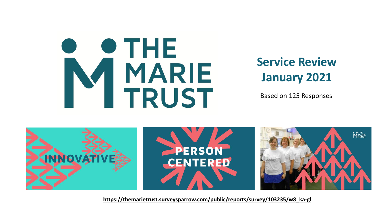

# **Service Review January 2021**

Based on 125 Responses



**[https://themarietrust.surveysparrow.com/public/reports/survey/103235/w8\\_ka-gl](https://themarietrust.surveysparrow.com/public/reports/survey/103235/w8_ka-gl)**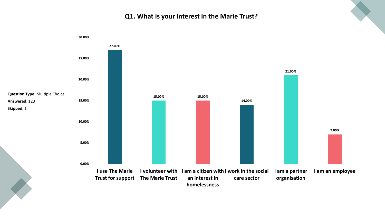#### **Q1. What is your interest in the Marie Trust?**

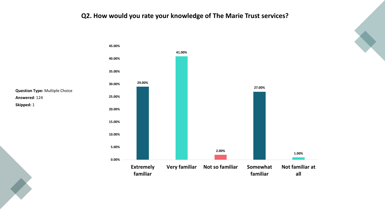## **Q2. How would you rate your knowledge of The Marie Trust services?**





**Skipped:** 1

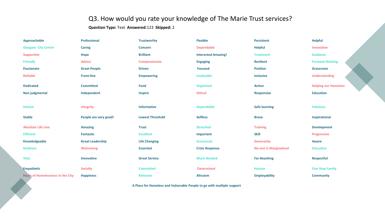## Q3. How would you rate your knowledge of The Marie Trust services?

**Question Type:** Text **Answered**:123 **Skipped:** 2

| Approachable                                                           | Professional            | <b>Trustworthy</b>      | <b>Flexible</b>            | Persistent                    | <b>Helpful</b>              |
|------------------------------------------------------------------------|-------------------------|-------------------------|----------------------------|-------------------------------|-----------------------------|
| <b>Glasgow City Centre</b>                                             | <b>Caring</b>           | <b>Concern</b>          | <b>Dependable</b>          | <b>Helpful</b>                | Innovative                  |
| <b>Supportive</b>                                                      | <b>Hope</b>             | <b>Brilliant</b>        | <b>Interested Amazing!</b> | <b>Treatment</b>              | <b>Guidance</b>             |
| <b>Friendly</b>                                                        | <b>Advice</b>           | Compassionate           | <b>Engaging</b>            | <b>Resilient</b>              | <b>Forward-thinking</b>     |
| <b>Passionate</b>                                                      | <b>Great People</b>     | <b>Driven</b>           | <b>Focused</b>             | <b>Positive</b>               | <b>Grassroots</b>           |
| <b>Reliable</b>                                                        | <b>Front-line</b>       | <b>Empowering</b>       | Invaluable                 | <b>Inclusive</b>              | <b>Understanding</b>        |
| <b>Dedicated</b>                                                       | <b>Committed</b>        | <b>Food</b>             | <b>Organized</b>           | <b>Action</b>                 | <b>Helping our Homeless</b> |
| Non judgmental                                                         | Independent             | <b>Inspire</b>          | <b>Ethical</b>             | <b>Responsive</b>             | <b>Education</b>            |
|                                                                        |                         |                         |                            |                               |                             |
| <b>Honest</b>                                                          | Integrity               | <b>Informative</b>      | <b>Dependable</b>          | <b>Safe learning</b>          | <b>Fabulous</b>             |
| <b>Stable</b>                                                          | People are very good!   | <b>Lowest Threshold</b> | <b>Selfless</b>            | <b>Brave</b>                  | Inspirational               |
| <b>Absolute Life Line</b>                                              | <b>Amazing</b>          | <b>Trust</b>            | <b>Stretched</b>           | <b>Training</b>               | <b>Development</b>          |
| <b>Efficient</b>                                                       | <b>Fantastic</b>        | <b>Excellent</b>        | Important                  | <b>Skill</b>                  | <b>Progressive</b>          |
| Knowledgeable                                                          | <b>Great Leadership</b> | <b>Life Changing</b>    | <b>Grassroots</b>          | <b>Generosity</b>             | Aware                       |
| <b>Kindness</b>                                                        | <b>Welcoming</b>        | <b>Essential</b>        | <b>Crisis Response</b>     | <b>No-one is Marginalised</b> | <b>Education</b>            |
| <b>Vital</b>                                                           | <b>Innovative</b>       | <b>Great Service</b>    | <b>Much Needed</b>         | <b>Far-Reaching</b>           | <b>Respectful</b>           |
| <b>Empathetic</b>                                                      | <b>Socially</b>         | <b>Committed</b>        | <b>Determined</b>          | Human                         | <b>One Stop Family</b>      |
| <b>Heart of Homelessness in the City</b>                               | <b>Happiness</b>        | <b>Relevant</b>         | <b>Altruism</b>            | <b>Employability</b>          | <b>Community</b>            |
| A Place for Homeless and Vulnerable People to go with multiple support |                         |                         |                            |                               |                             |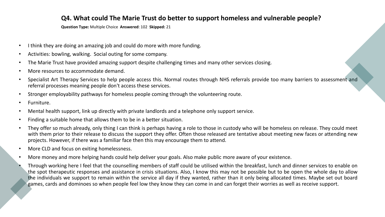#### **Q4. What could The Marie Trust do better to support homeless and vulnerable people?**

**Question Type:** Multiple Choice **Answered**: 102 **Skipped:** 21

- I think they are doing an amazing job and could do more with more funding.
- Activities: bowling, walking. Social outing for some company.
- The Marie Trust have provided amazing support despite challenging times and many other services closing.
- More resources to accommodate demand.
- Specialist Art Therapy Services to help people access this. Normal routes through NHS referrals provide too many barriers to assessment and referral processes meaning people don't access these services.
- Stronger employability pathways for homeless people coming through the volunteering route.
- Furniture.
- Mental health support, link up directly with private landlords and a telephone only support service.
- Finding a suitable home that allows them to be in a better situation.
- They offer so much already, only thing I can think is perhaps having a role to those in custody who will be homeless on release. They could meet with them prior to their release to discuss the support they offer. Often those released are tentative about meeting new faces or attending new projects. However, if there was a familiar face then this may encourage them to attend.
- More CLD and focus on exiting homelessness.
- More money and more helping hands could help deliver your goals. Also make public more aware of your existence.
- Through working here I feel that the counselling members of staff could be utilised within the breakfast, lunch and dinner services to enable on the spot therapeutic responses and assistance in crisis situations. Also, I know this may not be possible but to be open the whole day to allow the individuals we support to remain within the service all day if they wanted, rather than it only being allocated times. Maybe set out board games, cards and dominoes so when people feel low they know they can come in and can forget their worries as well as receive support.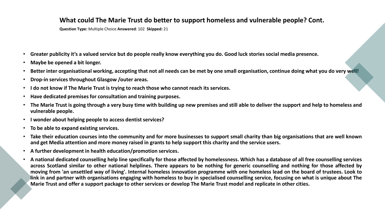#### **What could The Marie Trust do better to support homeless and vulnerable people? Cont.**

**Question Type:** Multiple Choice **Answered**: 102 **Skipped:** 21

- Greater publicity it's a valued service but do people really know everything you do. Good luck stories social media presence.
- **Maybe be opened a bit longer.**
- Better inter organisational working, accepting that not all needs can be met by one small organisation, continue doing what you do very well!
- **Drop-in services throughout Glasgow /outer areas.**
- **I do not know if The Marie Trust is trying to reach those who cannot reach its services.**
- **Have dedicated premises for consultation and training purposes.**
- The Marie Trust is going through a very busy time with building up new premises and still able to deliver the support and help to homeless and **vulnerable people.**
- **I wonder about helping people to access dentist services?**
- **To be able to expand existing services.**
- Take their education courses into the community and for more businesses to support small charity than big organisations that are well known and get Media attention and more money raised in grants to help support this charity and the service users.
- **A further development in health education/promotion services.**
- A national dedicated counselling help line specifically for those affected by homelessness. Which has a database of all free counselling services across Scotland similar to other national helplines. There appears to be nothing for generic counselling and nothing for those affected by moving from 'an unsettled way of living'. Internal homeless innovation programme with one homeless lead on the board of trustees. Look to link in and partner with organisations engaging with homeless to buy in specialised counselling service, focusing on what is unique about The Marie Trust and offer a support package to other services or develop The Marie Trust model and replicate in other cities.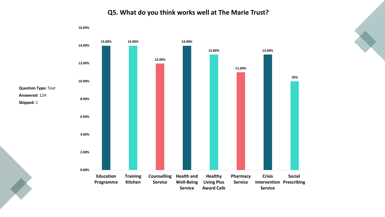

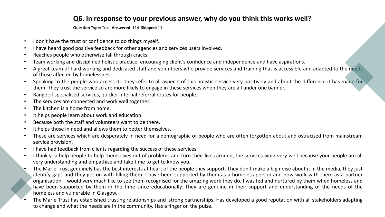## **Q6. In response to your previous answer, why do you think this works well?**

**Question Type:** Text **Answered**: 114 **Skipped:** 11

- I don't have the trust or confidence to do things myself.
- I have heard good positive feedback for other agencies and services users involved.
- Reaches people who otherwise fall through cracks.
- Team working and disciplined holistic practice, encouraging client's confidence and independence and have aspirations.
- A great team of hard working and dedicated staff and volunteers who provide services and training that is accessible and adapted to the needs of those affected by homelessness.
- Speaking to the people who access it they refer to all aspects of this holistic service very positively and about the difference it has made for them. They trust the service so are more likely to engage in these services when they are all under one banner.
- Range of specialised services, quicker internal referral routes for people.
- The services are connected and work well together.
- The kitchen is a home from home.
- It helps people learn about work and education.
- Because both the staff and volunteers want to be there.
- It helps those in need and allows them to better themselves.
- These are services which are desperately in need for a demographic of people who are often forgotten about and ostracized from mainstream service provision.
- I have had feedback from clients regarding the success of these services.
- I think you help people to help themselves out of problems and turn their lives around, the services work very well because your people are all very understanding and empathise and take time to get to know you.
- The Marie Trust genuinely has the best interests at heart of the people they support. They don't make a big noise about it in the media, they just identify gaps and they get on with filling them. I have been supported by them as a homeless person and now work with them as a partner organisation. I would very much like to see them recognised for the amazing work they do. I was fed and nurtured by them when homeless and have been supported by them in the time since educationally. They are genuine in their support and understanding of the needs of the homeless and vulnerable in Glasgow.
- The Marie Trust has established trusting relationships and strong partnerships. Has developed a good reputation with all stakeholders adapting to change and what the needs are in the community. Has a finger on the pulse.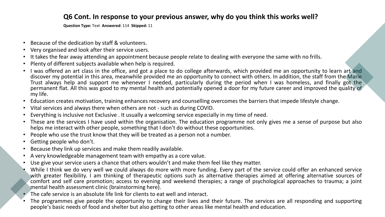### **Q6 Cont. In response to your previous answer, why do you think this works well?**

**Question Type:** Text **Answered**: 114 **Skipped:** 11

- Because of the dedication by staff & volunteers.
- Very organised and look after their service users.
- It takes the fear away attending an appointment because people relate to dealing with everyone the same with no frills.
- Plenty of different subjects available when help is required.
- I was offered an art class in the office, and got a place to do college afterwards, which provided me an opportunity to learn art and discover my potential in this area, meanwhile provided me an opportunity to connect with others. In addition, the staff from the Marie Trust always help and support me whenever I needed, particularly during the period when I was homeless, and finally got the permanent flat. All this was good to my mental health and potentially opened a door for my future career and improved the quality of my life.
- Education creates motivation, training enhances recovery and counselling overcomes the barriers that impede lifestyle change.
- Vital services and always there when others are not such as during COVID.
- Everything is inclusive not Exclusive . It usually a welcoming service especially in my time of need.
- These are the services I have used within the organisation. The education programme not only gives me a sense of purpose but also helps me interact with other people, something that I don't do without these opportunities.
- People who use the trust know that they will be treated as a person not a number.
- Getting people who don't.
- Because they link up services and make them readily available.
- A very knowledgeable management team with empathy as a core value.
- Use give your service users a chance that others wouldn't and make them feel like they matter.
- While I think we do very well we could always do more with more funding. Every part of the service could offer an enhanced service with greater flexibility. I am thinking of therapeutic options such as alternative therapies aimed at offering alternative sources of comfort and self care promotion; access to evening and weekend therapies; a range of psychological approaches to trauma; a joint mental health assessment clinic (brainstorming here).
- The cafe service is an absolute life link for clients to eat well and interact.
- The programmes give people the opportunity to change their lives and their future. The services are all responding and supporting people's basic needs of food and shelter but also getting to other areas like mental health and education.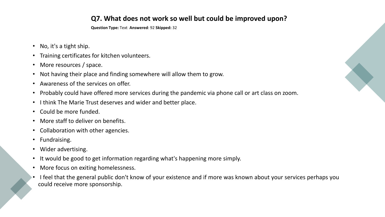## **Q7. What does not work so well but could be improved upon?**

**Question Type:** Text **Answered**: 92 **Skipped:** 32

- No, it's a tight ship.
- Training certificates for kitchen volunteers.
- More resources / space.
- Not having their place and finding somewhere will allow them to grow.
- Awareness of the services on offer.
- Probably could have offered more services during the pandemic via phone call or art class on zoom.
- I think The Marie Trust deserves and wider and better place.
- Could be more funded.
- More staff to deliver on benefits.
- Collaboration with other agencies.
- Fundraising.
- Wider advertising.
- It would be good to get information regarding what's happening more simply.
- More focus on exiting homelessness.
- I feel that the general public don't know of your existence and if more was known about your services perhaps you could receive more sponsorship.

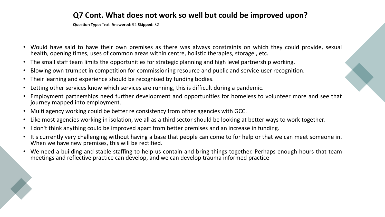# **Q7 Cont. What does not work so well but could be improved upon?**

**Question Type:** Text **Answered**: 92 **Skipped:** 32

- Would have said to have their own premises as there was always constraints on which they could provide, sexual health, opening times, uses of common areas within centre, holistic therapies, storage , etc.
- The small staff team limits the opportunities for strategic planning and high level partnership working.
- Blowing own trumpet in competition for commissioning resource and public and service user recognition.
- Their learning and experience should be recognised by funding bodies.
- Letting other services know which services are running, this is difficult during a pandemic.
- Employment partnerships need further development and opportunities for homeless to volunteer more and see that journey mapped into employment.
- Multi agency working could be better re consistency from other agencies with GCC.
- Like most agencies working in isolation, we all as a third sector should be looking at better ways to work together.
- I don't think anything could be improved apart from better premises and an increase in funding.
- It's currently very challenging without having a base that people can come to for help or that we can meet someone in. When we have new premises, this will be rectified.
- We need a building and stable staffing to help us contain and bring things together. Perhaps enough hours that team meetings and reflective practice can develop, and we can develop trauma informed practice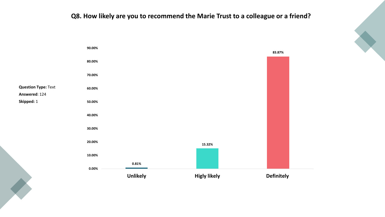## **Q8. How likely are you to recommend the Marie Trust to a colleague or a friend?**